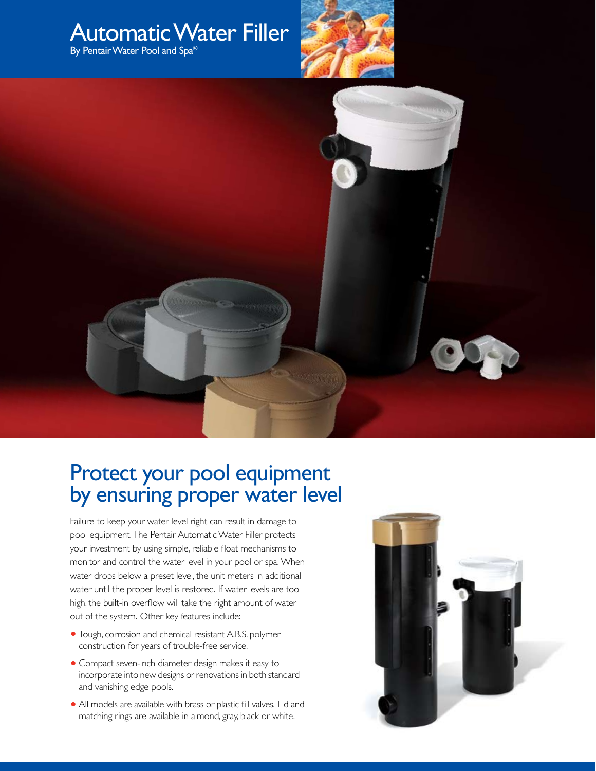

## Protect your pool equipment by ensuring proper water level

Failure to keep your water level right can result in damage to pool equipment. The Pentair Automatic Water Filler protects your investment by using simple, reliable float mechanisms to monitor and control the water level in your pool or spa. When water drops below a preset level, the unit meters in additional water until the proper level is restored. If water levels are too high, the built-in overflow will take the right amount of water out of the system. Other key features include:

- **•** Tough, corrosion and chemical resistant A.B.S. polymer construction for years of trouble-free service.
- **•** Compact seven-inch diameter design makes it easy to incorporate into new designs or renovations in both standard and vanishing edge pools.
- All models are available with brass or plastic fill valves. Lid and matching rings are available in almond, gray, black or white.